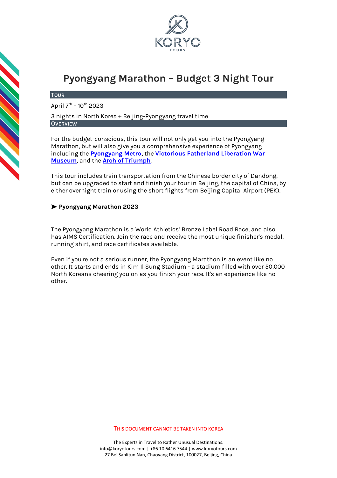

# **Pyongyang Marathon – Budget 3 Night Tour**

#### **TOUR**

April 7<sup>th</sup> – 10<sup>th</sup> 2023

3 nights in North Korea + Beijing-Pyongyang travel time **OVERVIEW**

For the budget-conscious, this tour will not only get you into the Pyongyang Marathon, but will also give you a comprehensive experience of Pyongyang including the **[Pyongyang Metro,](https://koryogroup.com/travel-guide/north-korea-guide-the-pyongyang-metro)** the **[Victorious Fatherland Liberation War](https://koryogroup.com/travel-guide/north-korea-guide-victorious-fatherland-liberation-war-museum)  [Museum](https://koryogroup.com/travel-guide/north-korea-guide-victorious-fatherland-liberation-war-museum)**, and the **[Arch of Triumph](https://koryogroup.com/travel-guide/north-korea-guide-arch-of-triumph)**.

This tour includes train transportation from the Chinese border city of Dandong, but can be upgraded to start and finish your tour in Beijing, the capital of China, by either overnight train or using the short flights from Beijing Capital Airport (PEK).

# ➤ **Pyongyang Marathon 2023**

The Pyongyang Marathon is a World Athletics' Bronze Label Road Race, and also has AIMS Certification. Join the race and receive the most unique finisher's medal, running shirt, and race certificates available.

Even if you're not a serious runner, the Pyongyang Marathon is an event like no other. It starts and ends in Kim Il Sung Stadium - a stadium filled with over 50,000 North Koreans cheering you on as you finish your race. It's an experience like no other.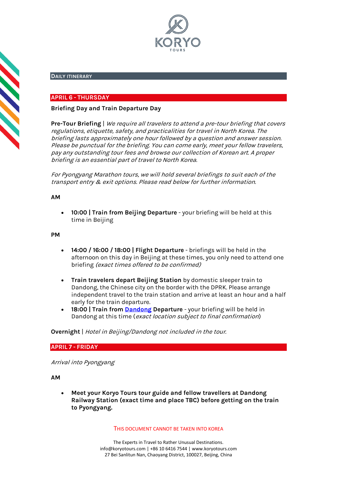

## **DAILY ITINERARY**

## **APRIL 6 - THURSDAY**

## **Briefing Day and Train Departure Day**

**Pre-Tour Briefing** | We require all travelers to attend a pre-tour briefing that covers regulations, etiquette, safety, and practicalities for travel in North Korea. The briefing lasts approximately one hour followed by a question and answer session. Please be punctual for the briefing. You can come early, meet your fellow travelers, pay any outstanding tour fees and browse our collection of Korean art. A proper briefing is an essential part of travel to North Korea.

For Pyongyang Marathon tours, we will hold several briefings to suit each of the transport entry & exit options. Please read below for further information.

#### **AM**

**CONTRACT** 

• **10:00 | Train from Beijing Departure** - your briefing will be held at this time in Beijing

#### **PM**

- **14:00 / 16:00 / 18:00 | Flight Departure** briefings will be held in the afternoon on this day in Beijing at these times, you only need to attend one briefing (exact times offered to be confirmed)
- **Train travelers depart Beijing Station** by domestic sleeper train to Dandong, the Chinese city on the border with the DPRK. Please arrange independent travel to the train station and arrive at least an hour and a half early for the train departure.
- **18:00 | Train from [Dandong](https://koryogroup.com/travel-guide/dandong-liaoning-china-travel-guide) Departure**  your briefing will be held in Dandong at this time (exact location subject to final confirmation)

**Overnight** | Hotel in Beijing/Dandong not included in the tour.

## **APRIL 7 - FRIDAY**

Arrival into Pyongyang

**AM**

• **Meet your Koryo Tours tour guide and fellow travellers at Dandong Railway Station (exact time and place TBC) before getting on the train to Pyongyang.**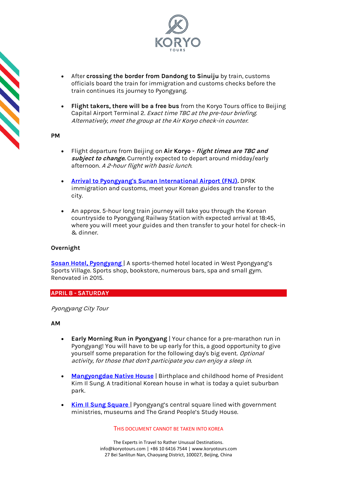

- After **crossing the border from Dandong to Sinuiju** by train, customs officials board the train for immigration and customs checks before the train continues its journey to Pyongyang.
- **Flight takers, there will be a free bus** from the Koryo Tours office to Beijing Capital Airport Terminal 2. Exact time TBC at the pre-tour briefing. Alternatively, meet the group at the Air Koryo check-in counter.

**PM**

- Flight departure from Beijing on **Air Koryo - flight times are TBC and subject to change.** Currently expected to depart around midday/early afternoon. A 2-hour flight with basic lunch.
- **[Arrival to Pyongyang's Sunan International Airport \(FNJ\).](https://koryogroup.com/travel-guide/pyongyang-airport-north-korea-travel-guide-f98cfdb4-ab0f-419c-90a3-93b18280a76b)** DPRK immigration and customs, meet your Korean guides and transfer to the city.
- An approx. 5-hour long train journey will take you through the Korean countryside to Pyongyang Railway Station with expected arrival at 18:45, where you will meet your guides and then transfer to your hotel for check-in & dinner.

# **Overnight**

**[Sosan Hotel, Pyongyang](https://koryogroup.com/travel-guide/sosan-hotel-north-korea-travel-guide)** | A sports-themed hotel located in West Pyongyang's Sports Village. Sports shop, bookstore, numerous bars, spa and small gym. Renovated in 2015.

## **APRIL 8 - SATURDAY**

## Pyongyang City Tour

## **AM**

- **Early Morning Run in Pyongyang** | Your chance for a pre-marathon run in Pyongyang! You will have to be up early for this, a good opportunity to give yourself some preparation for the following day's big event. Optional activity, for those that don't participate you can enjoy a sleep in.
- **[Mangyongdae Native House](https://koryogroup.com/travel-guide/mangyongdae-pyongyang-north-korea-travel-guide)** | Birthplace and childhood home of President Kim Il Sung. A traditional Korean house in what is today a quiet suburban park.
- **[Kim Il Sung Square](https://koryogroup.com/travel-guide/north-korea-guide-kim-il-sung-square)** | Pyongyang's central square lined with government ministries, museums and The Grand People's Study House.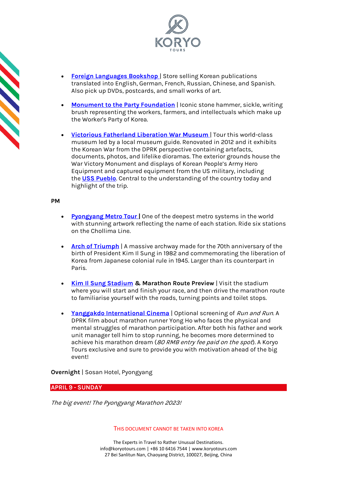

- **[Foreign Languages Bookshop](https://koryogroup.com/travel-guide/foreign-languages-bookshop-north-korea-travel-guide)** | Store selling Korean publications translated into English, German, French, Russian, Chinese, and Spanish. Also pick up DVDs, postcards, and small works of art.
- **[Monument to the Party Foundation](https://koryogroup.com/travel-guide/north-korea-guide-monument-to-party-founding)** | Iconic stone hammer, sickle, writing brush representing the workers, farmers, and intellectuals which make up the Worker's Party of Korea.
- **[Victorious Fatherland Liberation War Museum](https://koryogroup.com/travel-guide/north-korea-guide-monument-to-party-founding)** | Tour this world-class museum led by a local museum guide. Renovated in 2012 and it exhibits the Korean War from the DPRK perspective containing artefacts, documents, photos, and lifelike dioramas. The exterior grounds house the War Victory Monument and displays of Korean People's Army Hero Equipment and captured equipment from the US military, including the **[USS Pueblo](https://koryogroup.com/travel-guide/uss-pueblo-north-korea-travel-guide)**. Central to the understanding of the country today and highlight of the trip.

#### **PM**

- **[Pyongyang Metro Tour](https://koryogroup.com/travel-guide/north-korea-guide-the-pyongyang-metro) [|](https://koryogroup.com/travel-guide/north-korea-guide-the-pyongyang-metro)** One of the deepest metro systems in the world with stunning artwork reflecting the name of each station. Ride six stations on the Chollima Line.
- **[Arch of Triumph](https://koryogroup.com/travel-guide/north-korea-guide-arch-of-triumph)** | A massive archway made for the 70th anniversary of the birth of President Kim Il Sung in 1982 and commemorating the liberation of Korea from Japanese colonial rule in 1945. Larger than its counterpart in Paris.
- **[Kim Il Sung Stadium](https://koryogroup.com/travel-guide/kim-il-sung-stadium-north-korea-travel-guide) & Marathon Route Preview** | Visit the stadium where you will start and finish your race, and then drive the marathon route to familiarise yourself with the roads, turning points and toilet stops.
- **[Yanggakdo International Cinema](https://koryogroup.com/travel-guide/yanggakdo-international-cinema-north-korea-travel-guide)** | Optional screening of Run and Run. A DPRK film about marathon runner Yong Ho who faces the physical and mental struggles of marathon participation. After both his father and work unit manager tell him to stop running, he becomes more determined to achieve his marathon dream (80 RMB entry fee paid on the spot). A Koryo Tours exclusive and sure to provide you with motivation ahead of the big event!

**Overnight** | Sosan Hotel, Pyongyang

# **APRIL 9 - SUNDAY**

The big event! The Pyongyang Marathon 2023!

#### THIS DOCUMENT CANNOT BE TAKEN INTO KOREA

The Experts in Travel to Rather Unusual Destinations. [info@koryotours.com](mailto:info@koryotours.com) | +86 10 6416 7544 | [www.koryotours.com](http://www.koryotours.com/) 27 Bei Sanlitun Nan, Chaoyang District, 100027, Beijing, China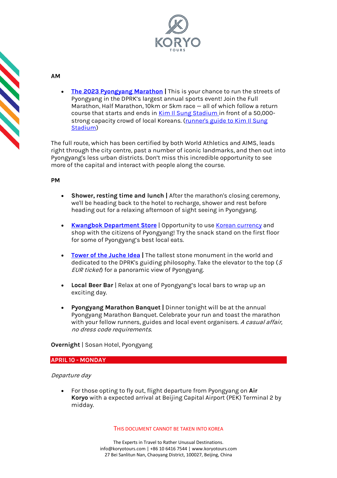

| Í |
|---|
|   |
|   |
|   |
|   |
| Ū |
|   |
|   |
|   |
|   |
|   |
| Ú |
|   |
|   |
|   |
|   |
|   |
|   |
|   |
|   |
|   |
|   |
|   |
|   |
|   |
|   |
|   |
|   |
|   |

**AM**

• **[The 2023 Pyongyang Marathon](https://koryogroup.com/travel-guide/north-korea-travel-guide-the-pyongyang-marathon) |** This is your chance to run the streets of Pyongyang in the DPRK's largest annual sports event! Join the Full Marathon, Half Marathon, 10km or 5km race — all of which follow a return course that starts and ends in Kim II Sung Stadium in front of a 50,000strong capacity crowd of local Koreans. (runner's guide to Kim Il Sung [Stadium\)](https://koryogroup.com/blog/a-pyongyang-marathon-runner-s-guide-kim-il-sung-stadium)

The full route, which has been certified by both World Athletics and AIMS, leads right through the city centre, past a number of iconic landmarks, and then out into Pyongyang's less urban districts. Don't miss this incredible opportunity to see more of the capital and interact with people along the course.

# **PM**

- **Shower, resting time and lunch |** After the marathon's closing ceremony, we'll be heading back to the hotel to recharge, shower and rest before heading out for a relaxing afternoon of sight seeing in Pyongyang.
- **[Kwangbok Department Store](https://koryogroup.com/travel-guide/north-korea-guide-kwangbok-department-store-supermarket)** | Opportunity to use [Korean currency](https://koryogroup.com/travel-guide/where-can-i-get-north-korean-currency-north-korean-money-faqs) and shop with the citizens of Pyongyang! Try the snack stand on the first floor for some of Pyongyang's best local eats.
- **[Tower of the Juche Idea](https://koryogroup.com/travel-guide/the-tower-of-the-juche-idea) |** The tallest stone monument in the world and dedicated to the DPRK's guiding philosophy. Take the elevator to the top (<sup>5</sup> EUR ticket) for a panoramic view of Pyongyang.
- **Local Beer Bar** | Relax at one of Pyongyang's local bars to wrap up an exciting day.
- **Pyongyang Marathon Banquet |** Dinner tonight will be at the annual Pyongyang Marathon Banquet. Celebrate your run and toast the marathon with your fellow runners, guides and local event organisers. A casual affair, no dress code requirements.

# **Overnight** | Sosan Hotel, Pyongyang

# **APRIL 10 - MONDAY**

# Departure day

• For those opting to fly out, flight departure from Pyongyang on **Air Koryo** with a expected arrival at Beijing Capital Airport (PEK) Terminal 2 by midday.